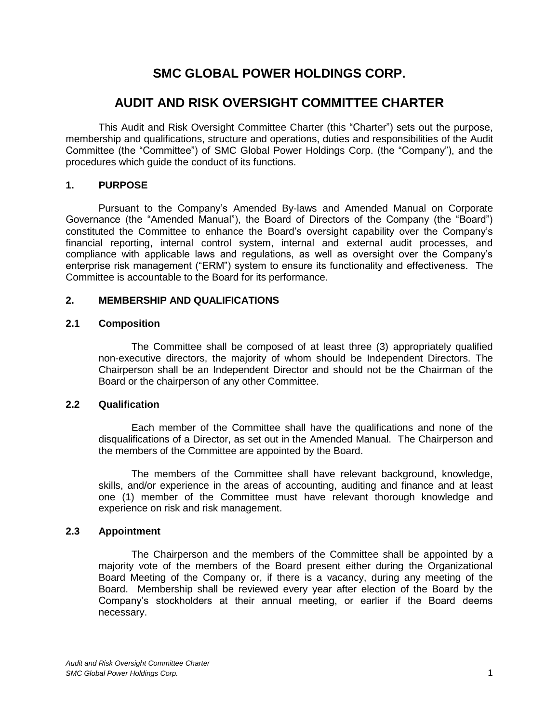# **SMC GLOBAL POWER HOLDINGS CORP.**

## **AUDIT AND RISK OVERSIGHT COMMITTEE CHARTER**

This Audit and Risk Oversight Committee Charter (this "Charter") sets out the purpose, membership and qualifications, structure and operations, duties and responsibilities of the Audit Committee (the "Committee") of SMC Global Power Holdings Corp. (the "Company"), and the procedures which guide the conduct of its functions.

## **1. PURPOSE**

Pursuant to the Company's Amended By-laws and Amended Manual on Corporate Governance (the "Amended Manual"), the Board of Directors of the Company (the "Board") constituted the Committee to enhance the Board's oversight capability over the Company's financial reporting, internal control system, internal and external audit processes, and compliance with applicable laws and regulations, as well as oversight over the Company's enterprise risk management ("ERM") system to ensure its functionality and effectiveness. The Committee is accountable to the Board for its performance.

## **2. MEMBERSHIP AND QUALIFICATIONS**

#### **2.1 Composition**

The Committee shall be composed of at least three (3) appropriately qualified non-executive directors, the majority of whom should be Independent Directors. The Chairperson shall be an Independent Director and should not be the Chairman of the Board or the chairperson of any other Committee.

## **2.2 Qualification**

Each member of the Committee shall have the qualifications and none of the disqualifications of a Director, as set out in the Amended Manual. The Chairperson and the members of the Committee are appointed by the Board.

The members of the Committee shall have relevant background, knowledge, skills, and/or experience in the areas of accounting, auditing and finance and at least one (1) member of the Committee must have relevant thorough knowledge and experience on risk and risk management.

## **2.3 Appointment**

The Chairperson and the members of the Committee shall be appointed by a majority vote of the members of the Board present either during the Organizational Board Meeting of the Company or, if there is a vacancy, during any meeting of the Board. Membership shall be reviewed every year after election of the Board by the Company's stockholders at their annual meeting, or earlier if the Board deems necessary.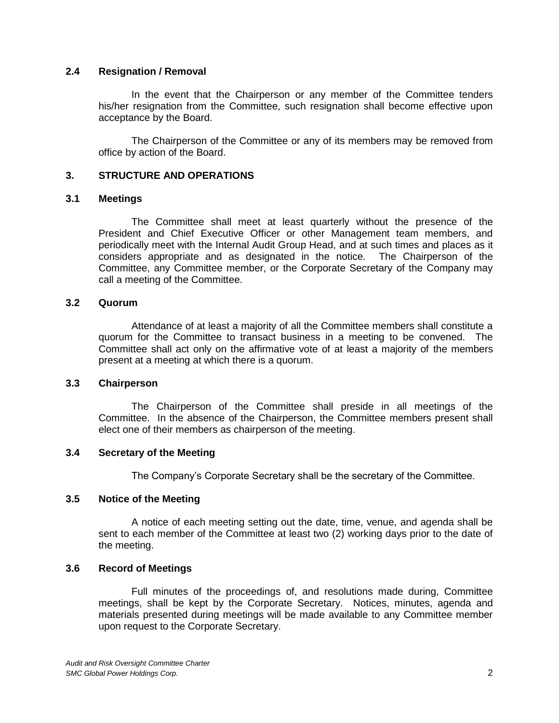## **2.4 Resignation / Removal**

In the event that the Chairperson or any member of the Committee tenders his/her resignation from the Committee, such resignation shall become effective upon acceptance by the Board.

The Chairperson of the Committee or any of its members may be removed from office by action of the Board.

## **3. STRUCTURE AND OPERATIONS**

#### **3.1 Meetings**

The Committee shall meet at least quarterly without the presence of the President and Chief Executive Officer or other Management team members, and periodically meet with the Internal Audit Group Head, and at such times and places as it considers appropriate and as designated in the notice. The Chairperson of the Committee, any Committee member, or the Corporate Secretary of the Company may call a meeting of the Committee.

## **3.2 Quorum**

Attendance of at least a majority of all the Committee members shall constitute a quorum for the Committee to transact business in a meeting to be convened. The Committee shall act only on the affirmative vote of at least a majority of the members present at a meeting at which there is a quorum.

#### **3.3 Chairperson**

The Chairperson of the Committee shall preside in all meetings of the Committee. In the absence of the Chairperson, the Committee members present shall elect one of their members as chairperson of the meeting.

## **3.4 Secretary of the Meeting**

The Company's Corporate Secretary shall be the secretary of the Committee.

## **3.5 Notice of the Meeting**

A notice of each meeting setting out the date, time, venue, and agenda shall be sent to each member of the Committee at least two (2) working days prior to the date of the meeting.

#### **3.6 Record of Meetings**

Full minutes of the proceedings of, and resolutions made during, Committee meetings, shall be kept by the Corporate Secretary. Notices, minutes, agenda and materials presented during meetings will be made available to any Committee member upon request to the Corporate Secretary.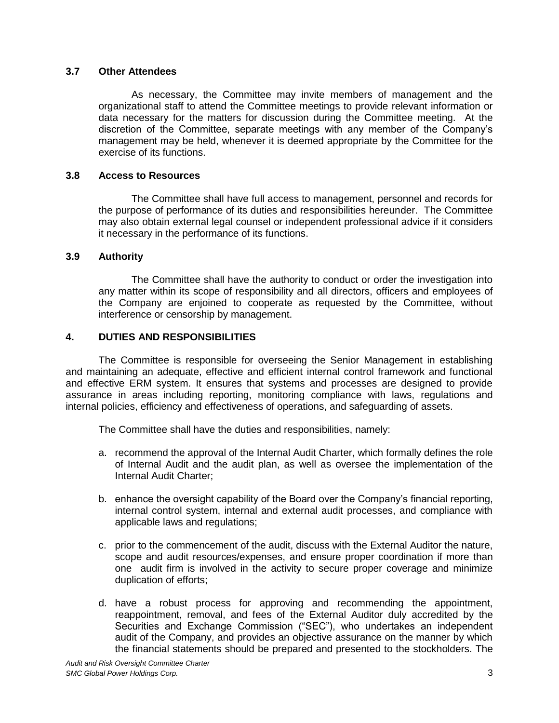## **3.7 Other Attendees**

As necessary, the Committee may invite members of management and the organizational staff to attend the Committee meetings to provide relevant information or data necessary for the matters for discussion during the Committee meeting. At the discretion of the Committee, separate meetings with any member of the Company's management may be held, whenever it is deemed appropriate by the Committee for the exercise of its functions.

## **3.8 Access to Resources**

The Committee shall have full access to management, personnel and records for the purpose of performance of its duties and responsibilities hereunder. The Committee may also obtain external legal counsel or independent professional advice if it considers it necessary in the performance of its functions.

## **3.9 Authority**

The Committee shall have the authority to conduct or order the investigation into any matter within its scope of responsibility and all directors, officers and employees of the Company are enjoined to cooperate as requested by the Committee, without interference or censorship by management.

## **4. DUTIES AND RESPONSIBILITIES**

The Committee is responsible for overseeing the Senior Management in establishing and maintaining an adequate, effective and efficient internal control framework and functional and effective ERM system. It ensures that systems and processes are designed to provide assurance in areas including reporting, monitoring compliance with laws, regulations and internal policies, efficiency and effectiveness of operations, and safeguarding of assets.

The Committee shall have the duties and responsibilities, namely:

- a. recommend the approval of the Internal Audit Charter, which formally defines the role of Internal Audit and the audit plan, as well as oversee the implementation of the Internal Audit Charter;
- b. enhance the oversight capability of the Board over the Company's financial reporting, internal control system, internal and external audit processes, and compliance with applicable laws and regulations;
- c. prior to the commencement of the audit, discuss with the External Auditor the nature, scope and audit resources/expenses, and ensure proper coordination if more than one audit firm is involved in the activity to secure proper coverage and minimize duplication of efforts;
- d. have a robust process for approving and recommending the appointment, reappointment, removal, and fees of the External Auditor duly accredited by the Securities and Exchange Commission ("SEC"), who undertakes an independent audit of the Company, and provides an objective assurance on the manner by which the financial statements should be prepared and presented to the stockholders. The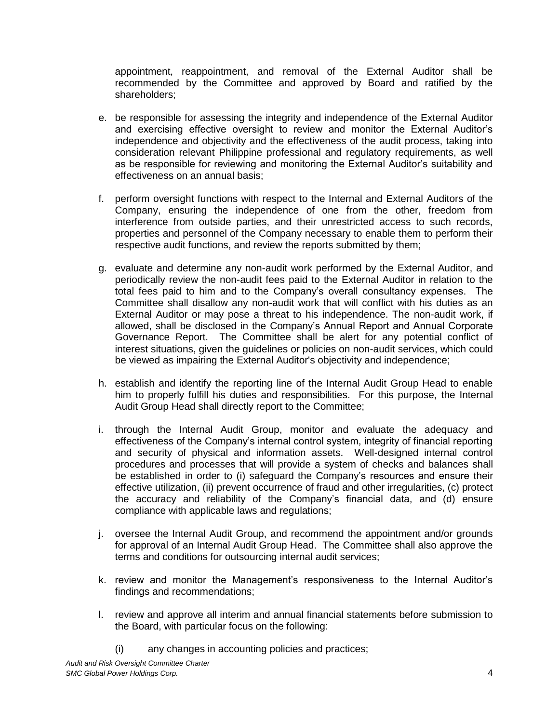appointment, reappointment, and removal of the External Auditor shall be recommended by the Committee and approved by Board and ratified by the shareholders;

- e. be responsible for assessing the integrity and independence of the External Auditor and exercising effective oversight to review and monitor the External Auditor's independence and objectivity and the effectiveness of the audit process, taking into consideration relevant Philippine professional and regulatory requirements, as well as be responsible for reviewing and monitoring the External Auditor's suitability and effectiveness on an annual basis;
- f. perform oversight functions with respect to the Internal and External Auditors of the Company, ensuring the independence of one from the other, freedom from interference from outside parties, and their unrestricted access to such records, properties and personnel of the Company necessary to enable them to perform their respective audit functions, and review the reports submitted by them;
- g. evaluate and determine any non-audit work performed by the External Auditor, and periodically review the non-audit fees paid to the External Auditor in relation to the total fees paid to him and to the Company's overall consultancy expenses. The Committee shall disallow any non-audit work that will conflict with his duties as an External Auditor or may pose a threat to his independence. The non-audit work, if allowed, shall be disclosed in the Company's Annual Report and Annual Corporate Governance Report. The Committee shall be alert for any potential conflict of interest situations, given the guidelines or policies on non-audit services, which could be viewed as impairing the External Auditor's objectivity and independence;
- h. establish and identify the reporting line of the Internal Audit Group Head to enable him to properly fulfill his duties and responsibilities. For this purpose, the Internal Audit Group Head shall directly report to the Committee;
- i. through the Internal Audit Group, monitor and evaluate the adequacy and effectiveness of the Company's internal control system, integrity of financial reporting and security of physical and information assets. Well-designed internal control procedures and processes that will provide a system of checks and balances shall be established in order to (i) safeguard the Company's resources and ensure their effective utilization, (ii) prevent occurrence of fraud and other irregularities, (c) protect the accuracy and reliability of the Company's financial data, and (d) ensure compliance with applicable laws and regulations;
- j. oversee the Internal Audit Group, and recommend the appointment and/or grounds for approval of an Internal Audit Group Head. The Committee shall also approve the terms and conditions for outsourcing internal audit services;
- k. review and monitor the Management's responsiveness to the Internal Auditor's findings and recommendations;
- l. review and approve all interim and annual financial statements before submission to the Board, with particular focus on the following:
	- (i) any changes in accounting policies and practices;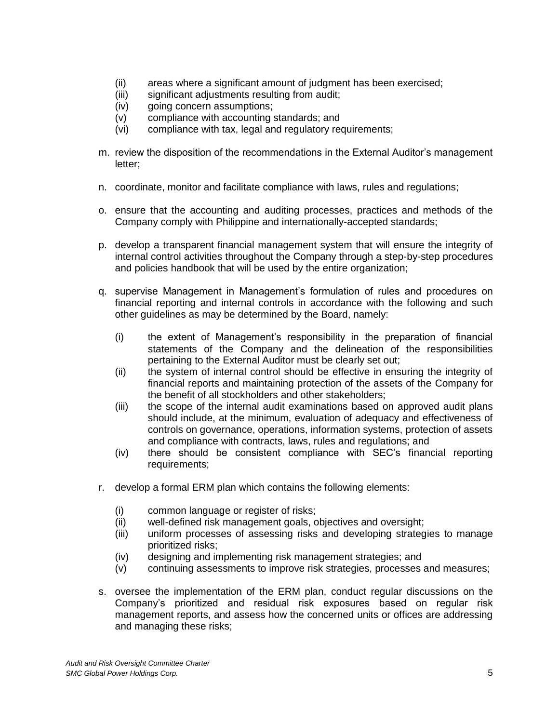- (ii) areas where a significant amount of judgment has been exercised;
- (iii) significant adjustments resulting from audit;
- (iv) going concern assumptions;
- (v) compliance with accounting standards; and
- (vi) compliance with tax, legal and regulatory requirements;
- m. review the disposition of the recommendations in the External Auditor's management letter;
- n. coordinate, monitor and facilitate compliance with laws, rules and regulations;
- o. ensure that the accounting and auditing processes, practices and methods of the Company comply with Philippine and internationally-accepted standards;
- p. develop a transparent financial management system that will ensure the integrity of internal control activities throughout the Company through a step-by-step procedures and policies handbook that will be used by the entire organization;
- q. supervise Management in Management's formulation of rules and procedures on financial reporting and internal controls in accordance with the following and such other guidelines as may be determined by the Board, namely:
	- (i) the extent of Management's responsibility in the preparation of financial statements of the Company and the delineation of the responsibilities pertaining to the External Auditor must be clearly set out;
	- (ii) the system of internal control should be effective in ensuring the integrity of financial reports and maintaining protection of the assets of the Company for the benefit of all stockholders and other stakeholders;
	- (iii) the scope of the internal audit examinations based on approved audit plans should include, at the minimum, evaluation of adequacy and effectiveness of controls on governance, operations, information systems, protection of assets and compliance with contracts, laws, rules and regulations; and
	- (iv) there should be consistent compliance with SEC's financial reporting requirements;
- r. develop a formal ERM plan which contains the following elements:
	- (i) common language or register of risks;
	- (ii) well-defined risk management goals, objectives and oversight;
	- (iii) uniform processes of assessing risks and developing strategies to manage prioritized risks;
	- (iv) designing and implementing risk management strategies; and
	- (v) continuing assessments to improve risk strategies, processes and measures;
- s. oversee the implementation of the ERM plan, conduct regular discussions on the Company's prioritized and residual risk exposures based on regular risk management reports, and assess how the concerned units or offices are addressing and managing these risks;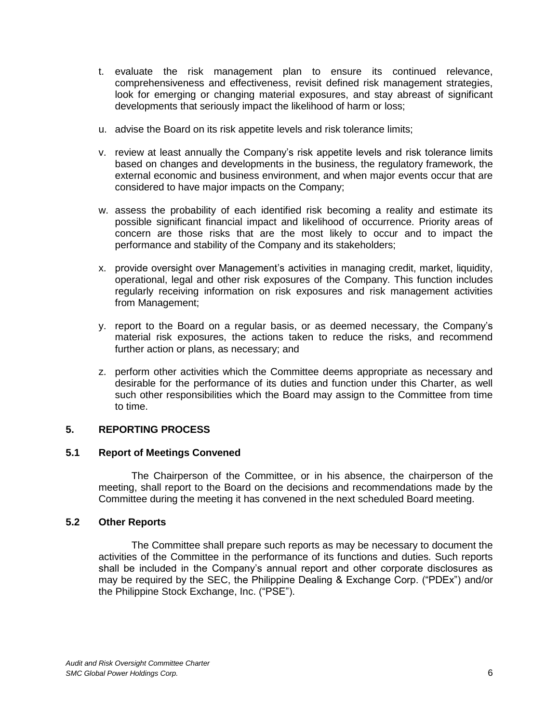- t. evaluate the risk management plan to ensure its continued relevance, comprehensiveness and effectiveness, revisit defined risk management strategies, look for emerging or changing material exposures, and stay abreast of significant developments that seriously impact the likelihood of harm or loss;
- u. advise the Board on its risk appetite levels and risk tolerance limits;
- v. review at least annually the Company's risk appetite levels and risk tolerance limits based on changes and developments in the business, the regulatory framework, the external economic and business environment, and when major events occur that are considered to have major impacts on the Company;
- w. assess the probability of each identified risk becoming a reality and estimate its possible significant financial impact and likelihood of occurrence. Priority areas of concern are those risks that are the most likely to occur and to impact the performance and stability of the Company and its stakeholders;
- x. provide oversight over Management's activities in managing credit, market, liquidity, operational, legal and other risk exposures of the Company. This function includes regularly receiving information on risk exposures and risk management activities from Management;
- y. report to the Board on a regular basis, or as deemed necessary, the Company's material risk exposures, the actions taken to reduce the risks, and recommend further action or plans, as necessary; and
- z. perform other activities which the Committee deems appropriate as necessary and desirable for the performance of its duties and function under this Charter, as well such other responsibilities which the Board may assign to the Committee from time to time.

## **5. REPORTING PROCESS**

## **5.1 Report of Meetings Convened**

The Chairperson of the Committee, or in his absence, the chairperson of the meeting, shall report to the Board on the decisions and recommendations made by the Committee during the meeting it has convened in the next scheduled Board meeting.

## **5.2 Other Reports**

The Committee shall prepare such reports as may be necessary to document the activities of the Committee in the performance of its functions and duties. Such reports shall be included in the Company's annual report and other corporate disclosures as may be required by the SEC, the Philippine Dealing & Exchange Corp. ("PDEx") and/or the Philippine Stock Exchange, Inc. ("PSE").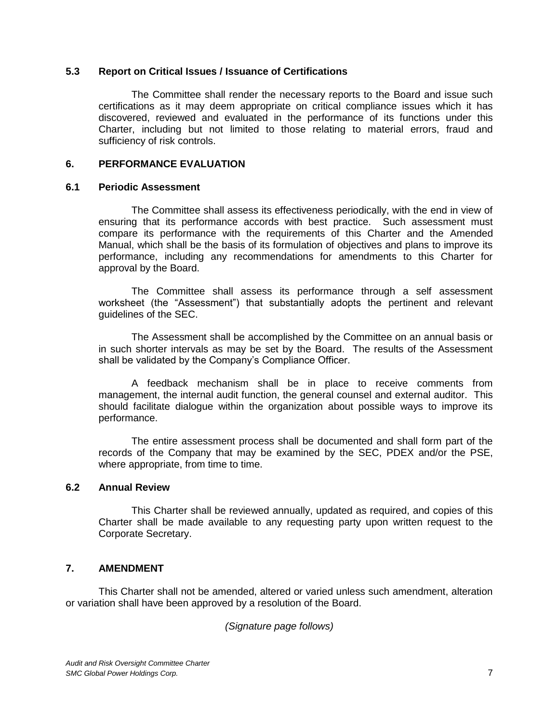#### **5.3 Report on Critical Issues / Issuance of Certifications**

The Committee shall render the necessary reports to the Board and issue such certifications as it may deem appropriate on critical compliance issues which it has discovered, reviewed and evaluated in the performance of its functions under this Charter, including but not limited to those relating to material errors, fraud and sufficiency of risk controls.

## **6. PERFORMANCE EVALUATION**

#### **6.1 Periodic Assessment**

The Committee shall assess its effectiveness periodically, with the end in view of ensuring that its performance accords with best practice. Such assessment must compare its performance with the requirements of this Charter and the Amended Manual, which shall be the basis of its formulation of objectives and plans to improve its performance, including any recommendations for amendments to this Charter for approval by the Board.

The Committee shall assess its performance through a self assessment worksheet (the "Assessment") that substantially adopts the pertinent and relevant guidelines of the SEC.

The Assessment shall be accomplished by the Committee on an annual basis or in such shorter intervals as may be set by the Board. The results of the Assessment shall be validated by the Company's Compliance Officer.

A feedback mechanism shall be in place to receive comments from management, the internal audit function, the general counsel and external auditor. This should facilitate dialogue within the organization about possible ways to improve its performance.

The entire assessment process shall be documented and shall form part of the records of the Company that may be examined by the SEC, PDEX and/or the PSE, where appropriate, from time to time.

## **6.2 Annual Review**

This Charter shall be reviewed annually, updated as required, and copies of this Charter shall be made available to any requesting party upon written request to the Corporate Secretary.

## **7. AMENDMENT**

This Charter shall not be amended, altered or varied unless such amendment, alteration or variation shall have been approved by a resolution of the Board.

*(Signature page follows)*